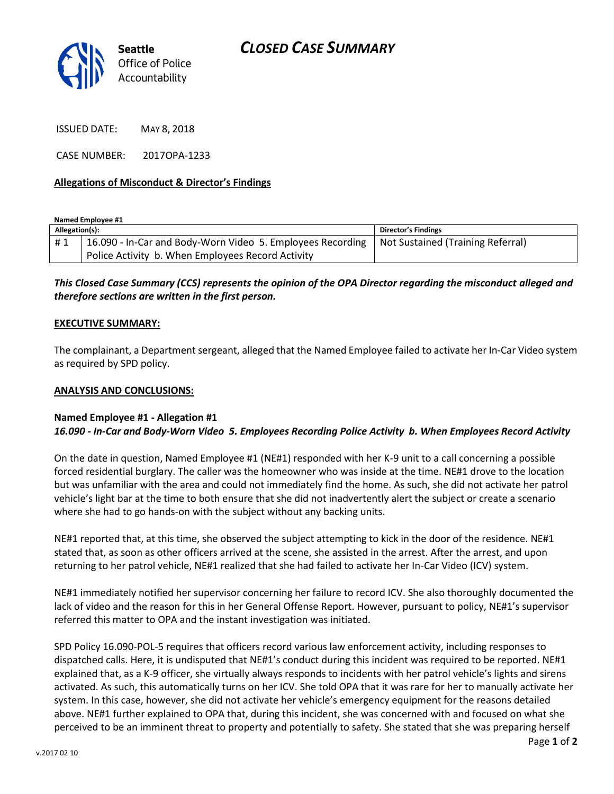

ISSUED DATE: MAY 8, 2018

CASE NUMBER: 2017OPA-1233

## **Allegations of Misconduct & Director's Findings**

**Named Employee #1**

| Allegation(s): |                                                                                                | Director's Findings |
|----------------|------------------------------------------------------------------------------------------------|---------------------|
| #1             | 16.090 - In-Car and Body-Worn Video 5. Employees Recording   Not Sustained (Training Referral) |                     |
|                | Police Activity b. When Employees Record Activity                                              |                     |

*This Closed Case Summary (CCS) represents the opinion of the OPA Director regarding the misconduct alleged and therefore sections are written in the first person.* 

#### **EXECUTIVE SUMMARY:**

The complainant, a Department sergeant, alleged that the Named Employee failed to activate her In-Car Video system as required by SPD policy.

#### **ANALYSIS AND CONCLUSIONS:**

### **Named Employee #1 - Allegation #1** *16.090 - In-Car and Body-Worn Video 5. Employees Recording Police Activity b. When Employees Record Activity*

On the date in question, Named Employee #1 (NE#1) responded with her K-9 unit to a call concerning a possible forced residential burglary. The caller was the homeowner who was inside at the time. NE#1 drove to the location but was unfamiliar with the area and could not immediately find the home. As such, she did not activate her patrol vehicle's light bar at the time to both ensure that she did not inadvertently alert the subject or create a scenario where she had to go hands-on with the subject without any backing units.

NE#1 reported that, at this time, she observed the subject attempting to kick in the door of the residence. NE#1 stated that, as soon as other officers arrived at the scene, she assisted in the arrest. After the arrest, and upon returning to her patrol vehicle, NE#1 realized that she had failed to activate her In-Car Video (ICV) system.

NE#1 immediately notified her supervisor concerning her failure to record ICV. She also thoroughly documented the lack of video and the reason for this in her General Offense Report. However, pursuant to policy, NE#1's supervisor referred this matter to OPA and the instant investigation was initiated.

SPD Policy 16.090-POL-5 requires that officers record various law enforcement activity, including responses to dispatched calls. Here, it is undisputed that NE#1's conduct during this incident was required to be reported. NE#1 explained that, as a K-9 officer, she virtually always responds to incidents with her patrol vehicle's lights and sirens activated. As such, this automatically turns on her ICV. She told OPA that it was rare for her to manually activate her system. In this case, however, she did not activate her vehicle's emergency equipment for the reasons detailed above. NE#1 further explained to OPA that, during this incident, she was concerned with and focused on what she perceived to be an imminent threat to property and potentially to safety. She stated that she was preparing herself